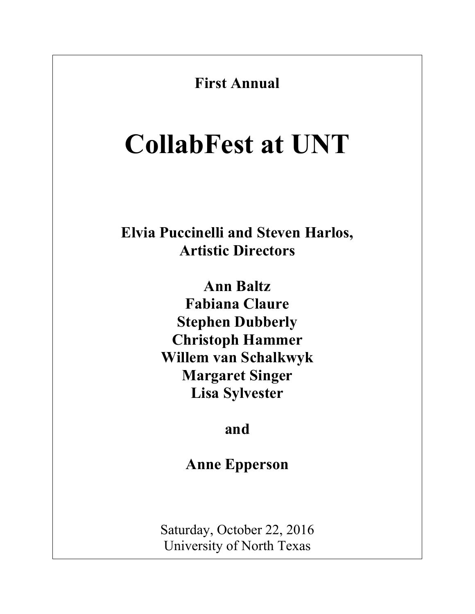

Saturday, October 22, 2016 University of North Texas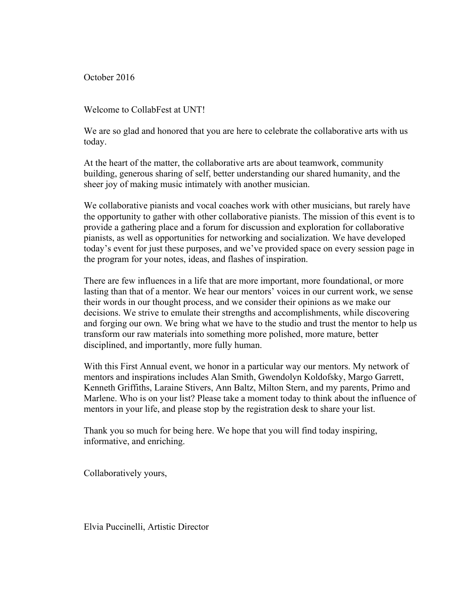October 2016

Welcome to CollabFest at UNT!

We are so glad and honored that you are here to celebrate the collaborative arts with us today.

At the heart of the matter, the collaborative arts are about teamwork, community building, generous sharing of self, better understanding our shared humanity, and the sheer joy of making music intimately with another musician.

We collaborative pianists and vocal coaches work with other musicians, but rarely have the opportunity to gather with other collaborative pianists. The mission of this event is to provide a gathering place and a forum for discussion and exploration for collaborative pianists, as well as opportunities for networking and socialization. We have developed today's event for just these purposes, and we've provided space on every session page in the program for your notes, ideas, and flashes of inspiration.

There are few influences in a life that are more important, more foundational, or more lasting than that of a mentor. We hear our mentors' voices in our current work, we sense their words in our thought process, and we consider their opinions as we make our decisions. We strive to emulate their strengths and accomplishments, while discovering and forging our own. We bring what we have to the studio and trust the mentor to help us transform our raw materials into something more polished, more mature, better disciplined, and importantly, more fully human.

With this First Annual event, we honor in a particular way our mentors. My network of mentors and inspirations includes Alan Smith, Gwendolyn Koldofsky, Margo Garrett, Kenneth Griffiths, Laraine Stivers, Ann Baltz, Milton Stern, and my parents, Primo and Marlene. Who is on your list? Please take a moment today to think about the influence of mentors in your life, and please stop by the registration desk to share your list.

Thank you so much for being here. We hope that you will find today inspiring, informative, and enriching.

Collaboratively yours,

Elvia Puccinelli, Artistic Director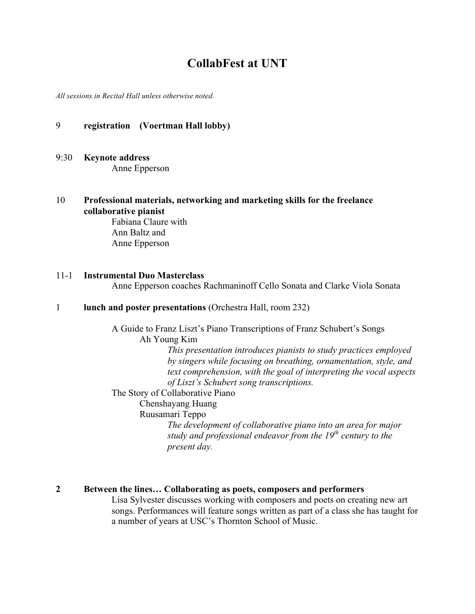# **CollabFest at UNT**

*All sessions in Recital Hall unless otherwise noted.*

### 9 **registration (Voertman Hall lobby)**

9:30 **Keynote address**

Anne Epperson

10 **Professional materials, networking and marketing skills for the freelance collaborative pianist**

> Fabiana Claure with Ann Baltz and Anne Epperson

#### 11-1 **Instrumental Duo Masterclass**

Anne Epperson coaches Rachmaninoff Cello Sonata and Clarke Viola Sonata

#### 1 **lunch and poster presentations** (Orchestra Hall, room 232)

A Guide to Franz Liszt's Piano Transcriptions of Franz Schubert's Songs Ah Young Kim *This presentation introduces pianists to study practices employed by singers while focusing on breathing, ornamentation, style, and text comprehension, with the goal of interpreting the vocal aspects of Liszt's Schubert song transcriptions.*

The Story of Collaborative Piano

Chenshayang Huang

Ruusamari Teppo

*The development of collaborative piano into an area for major study and professional endeavor from the 19th century to the present day.* 

### **2 Between the lines… Collaborating as poets, composers and performers**

Lisa Sylvester discusses working with composers and poets on creating new art songs. Performances will feature songs written as part of a class she has taught for a number of years at USC's Thornton School of Music.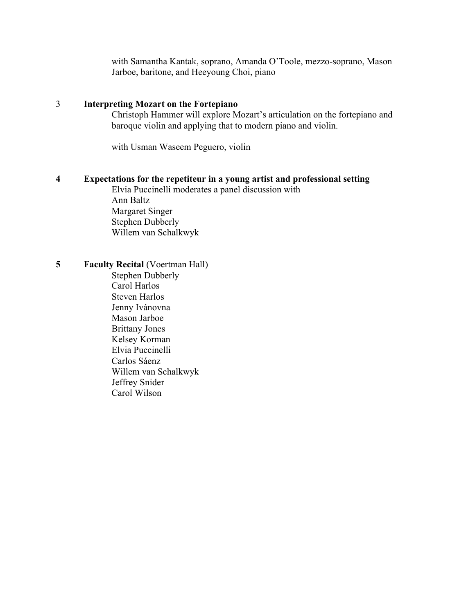with Samantha Kantak, soprano, Amanda O'Toole, mezzo-soprano, Mason Jarboe, baritone, and Heeyoung Choi, piano

### 3 **Interpreting Mozart on the Fortepiano**

Christoph Hammer will explore Mozart's articulation on the fortepiano and baroque violin and applying that to modern piano and violin.

with Usman Waseem Peguero, violin

#### **4 Expectations for the repetiteur in a young artist and professional setting**

Elvia Puccinelli moderates a panel discussion with Ann Baltz Margaret Singer Stephen Dubberly Willem van Schalkwyk

**5 Faculty Recital** (Voertman Hall)

Stephen Dubberly Carol Harlos Steven Harlos Jenny Ivánovna Mason Jarboe Brittany Jones Kelsey Korman Elvia Puccinelli Carlos Sáenz Willem van Schalkwyk Jeffrey Snider Carol Wilson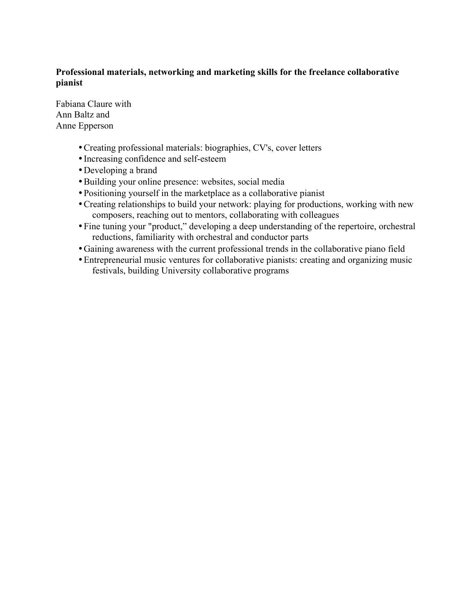### **Professional materials, networking and marketing skills for the freelance collaborative pianist**

Fabiana Claure with Ann Baltz and Anne Epperson

- •Creating professional materials: biographies, CV's, cover letters
- Increasing confidence and self-esteem
- •Developing a brand
- •Building your online presence: websites, social media
- •Positioning yourself in the marketplace as a collaborative pianist
- •Creating relationships to build your network: playing for productions, working with new composers, reaching out to mentors, collaborating with colleagues
- •Fine tuning your "product," developing a deep understanding of the repertoire, orchestral reductions, familiarity with orchestral and conductor parts
- •Gaining awareness with the current professional trends in the collaborative piano field
- •Entrepreneurial music ventures for collaborative pianists: creating and organizing music festivals, building University collaborative programs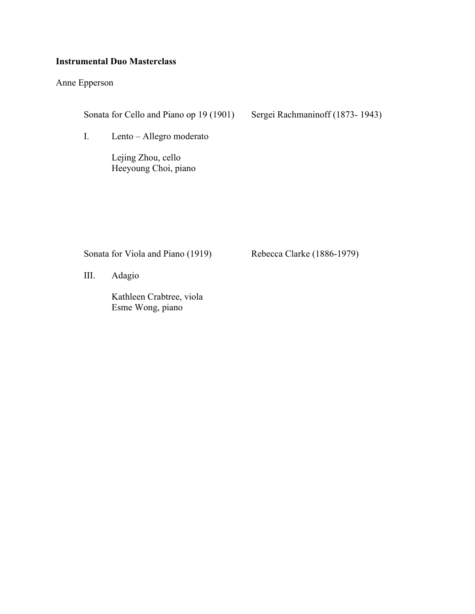### **Instrumental Duo Masterclass**

Anne Epperson

Sonata for Cello and Piano op 19 (1901) Sergei Rachmaninoff (1873- 1943)

I. Lento – Allegro moderato

Lejing Zhou, cello Heeyoung Choi, piano

Sonata for Viola and Piano (1919) Rebecca Clarke (1886-1979)

III. Adagio

Kathleen Crabtree, viola Esme Wong, piano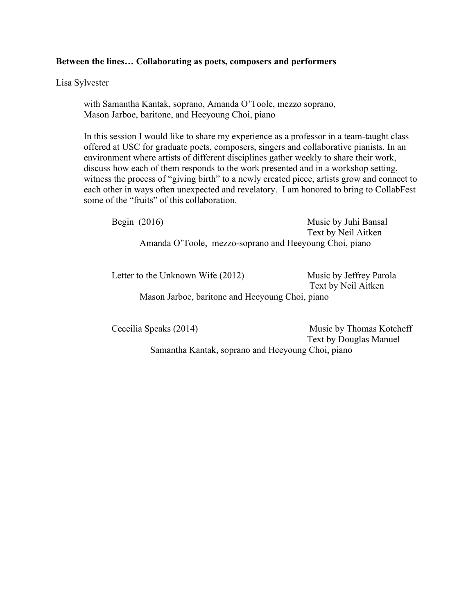### **Between the lines… Collaborating as poets, composers and performers**

Lisa Sylvester

with Samantha Kantak, soprano, Amanda O'Toole, mezzo soprano, Mason Jarboe, baritone, and Heeyoung Choi, piano

In this session I would like to share my experience as a professor in a team-taught class offered at USC for graduate poets, composers, singers and collaborative pianists. In an environment where artists of different disciplines gather weekly to share their work, discuss how each of them responds to the work presented and in a workshop setting, witness the process of "giving birth" to a newly created piece, artists grow and connect to each other in ways often unexpected and revelatory. I am honored to bring to CollabFest some of the "fruits" of this collaboration.

Begin (2016) Music by Juhi Bansal Text by Neil Aitken Amanda O'Toole, mezzo-soprano and Heeyoung Choi, piano

Letter to the Unknown Wife (2012) Music by Jeffrey Parola Text by Neil Aitken Mason Jarboe, baritone and Heeyoung Choi, piano

Ceceilia Speaks (2014) Music by Thomas Kotcheff Text by Douglas Manuel Samantha Kantak, soprano and Heeyoung Choi, piano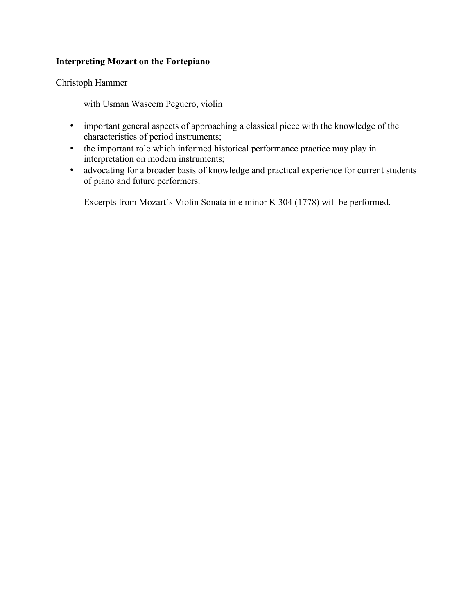### **Interpreting Mozart on the Fortepiano**

Christoph Hammer

with Usman Waseem Peguero, violin

- important general aspects of approaching a classical piece with the knowledge of the characteristics of period instruments;
- the important role which informed historical performance practice may play in interpretation on modern instruments;
- advocating for a broader basis of knowledge and practical experience for current students of piano and future performers.

Excerpts from Mozart´s Violin Sonata in e minor K 304 (1778) will be performed.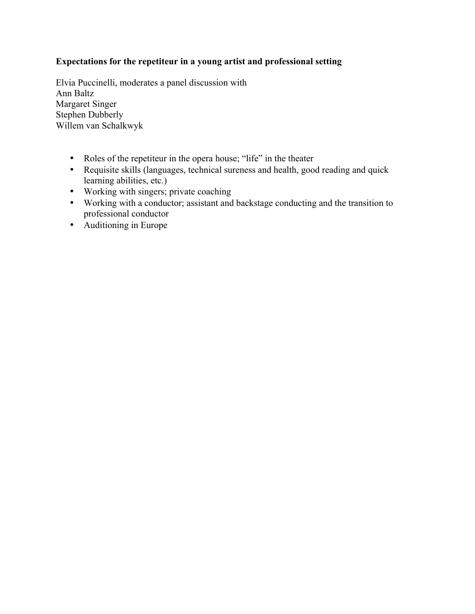## **Expectations for the repetiteur in a young artist and professional setting**

Elvia Puccinelli, moderates a panel discussion with Ann Baltz Margaret Singer Stephen Dubberly Willem van Schalkwyk

- Roles of the repetiteur in the opera house; "life" in the theater
- Requisite skills (languages, technical sureness and health, good reading and quick learning abilities, etc.)
- Working with singers; private coaching
- Working with a conductor; assistant and backstage conducting and the transition to professional conductor
- Auditioning in Europe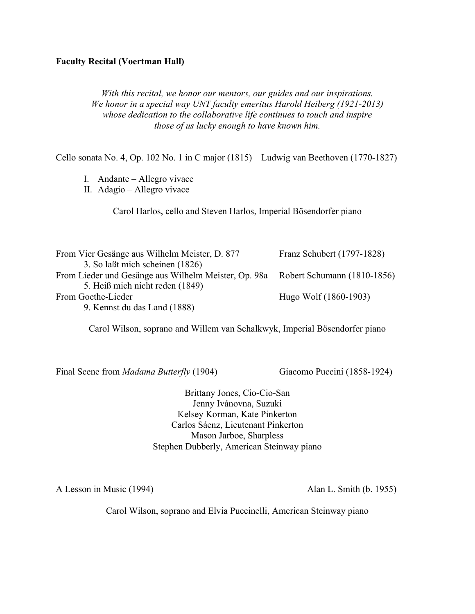### **Faculty Recital (Voertman Hall)**

*With this recital, we honor our mentors, our guides and our inspirations. We honor in a special way UNT faculty emeritus Harold Heiberg (1921-2013) whose dedication to the collaborative life continues to touch and inspire those of us lucky enough to have known him.*

Cello sonata No. 4, Op. 102 No. 1 in C major (1815) Ludwig van Beethoven (1770-1827)

- I. Andante Allegro vivace
- II. Adagio Allegro vivace

Carol Harlos, cello and Steven Harlos, Imperial Bösendorfer piano

| From Vier Gesänge aus Wilhelm Meister, D. 877        | Franz Schubert (1797-1828)  |
|------------------------------------------------------|-----------------------------|
| 3. So laßt mich scheinen (1826)                      |                             |
| From Lieder und Gesänge aus Wilhelm Meister, Op. 98a | Robert Schumann (1810-1856) |
| 5. Heiß mich nicht reden (1849)                      |                             |
| From Goethe-Lieder                                   | Hugo Wolf (1860-1903)       |
| 9. Kennst du das Land (1888)                         |                             |

Carol Wilson, soprano and Willem van Schalkwyk, Imperial Bösendorfer piano

Final Scene from *Madama Butterfly* (1904) Giacomo Puccini (1858-1924)

Brittany Jones, Cio-Cio-San Jenny Ivánovna, Suzuki Kelsey Korman, Kate Pinkerton Carlos Sáenz, Lieutenant Pinkerton Mason Jarboe, Sharpless Stephen Dubberly, American Steinway piano

A Lesson in Music (1994) Alan L. Smith (b. 1955)

Carol Wilson, soprano and Elvia Puccinelli, American Steinway piano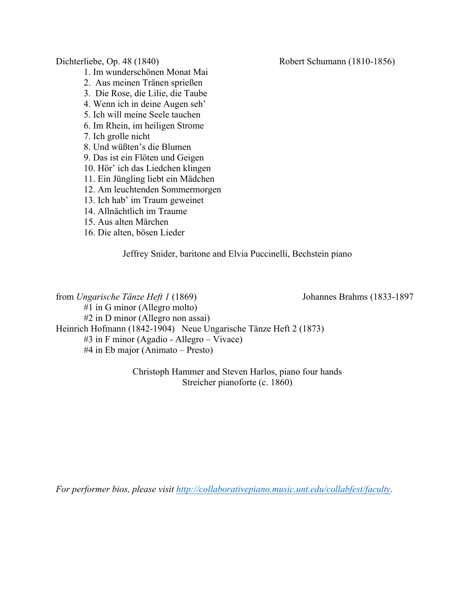1. Im wunderschönen Monat Mai

- 2. Aus meinen Tränen sprießen
- 3. Die Rose, die Lilie, die Taube
- 4. Wenn ich in deine Augen seh'
- 5. Ich will meine Seele tauchen
- 6. Im Rhein, im heiligen Strome

7. Ich grolle nicht

8. Und wüßten's die Blumen

- 9. Das ist ein Flöten und Geigen
- 10. Hör' ich das Liedchen klingen
- 11. Ein Jüngling liebt ein Mädchen
- 12. Am leuchtenden Sommermorgen
- 13. Ich hab' im Traum geweinet
- 14. Allnächtlich im Traume
- 15. Aus alten Märchen
- 16. Die alten, bösen Lieder

Jeffrey Snider, baritone and Elvia Puccinelli, Bechstein piano

from *Ungarische Tänze Heft 1* (1869) Johannes Brahms (1833-1897 #1 in G minor (Allegro molto) #2 in D minor (Allegro non assai) Heinrich Hofmann (1842-1904) Neue Ungarische Tänze Heft 2 (1873) #3 in F minor (Agadio - Allegro – Vivace) #4 in Eb major (Animato – Presto)

> Christoph Hammer and Steven Harlos, piano four hands Streicher pianoforte (c. 1860)

*For performer bios, please visit http://collaborativepiano.music.unt.edu/collabfest/faculty.* 

Dichterliebe, Op. 48 (1840) Robert Schumann (1810-1856)